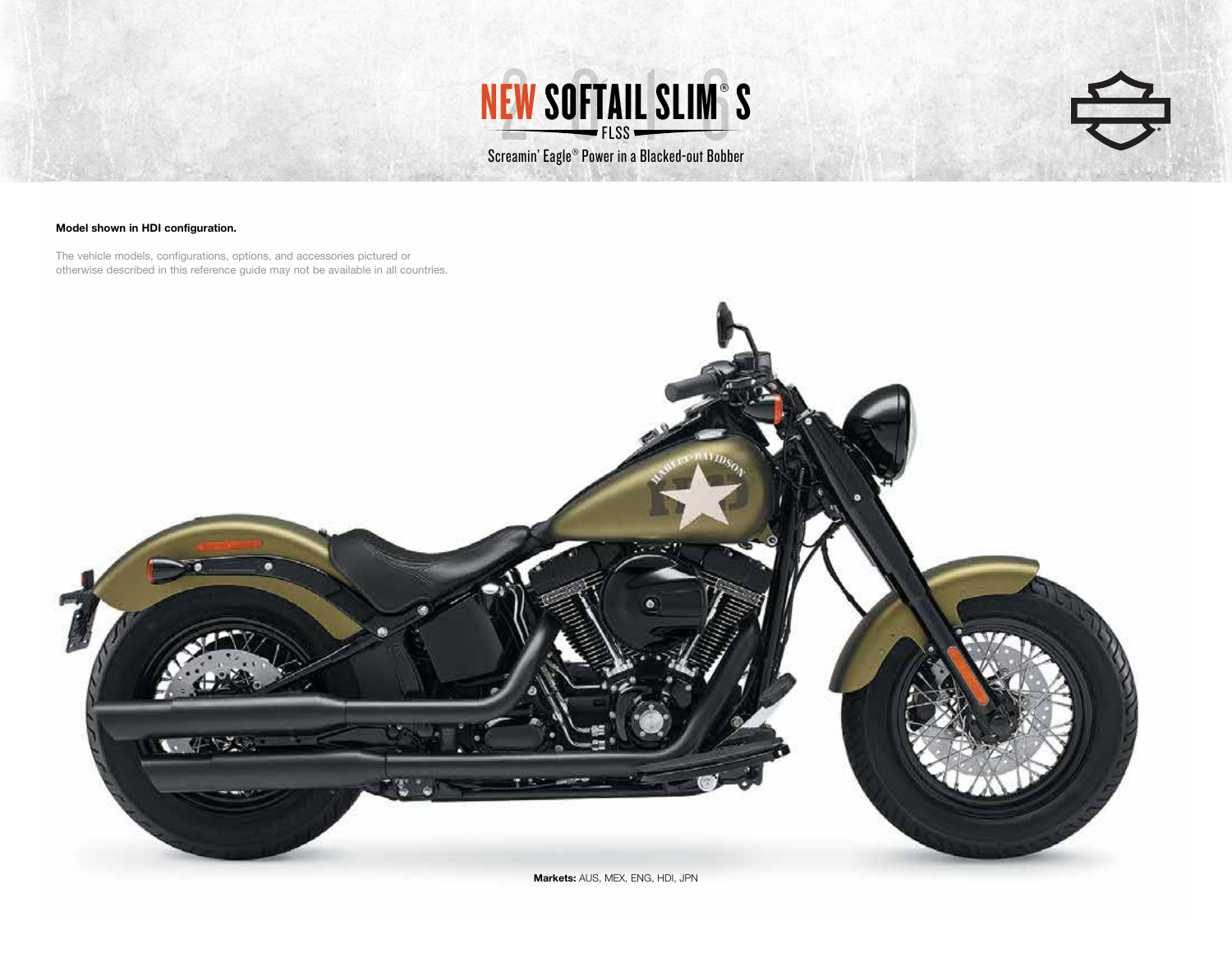



## Model shown in HDI configuration.

The vehicle models, configurations, options, and accessories pictured or otherwise described in this reference guide may not be available in all countries.



Markets: AUS, MEX, ENG, HDI, JPN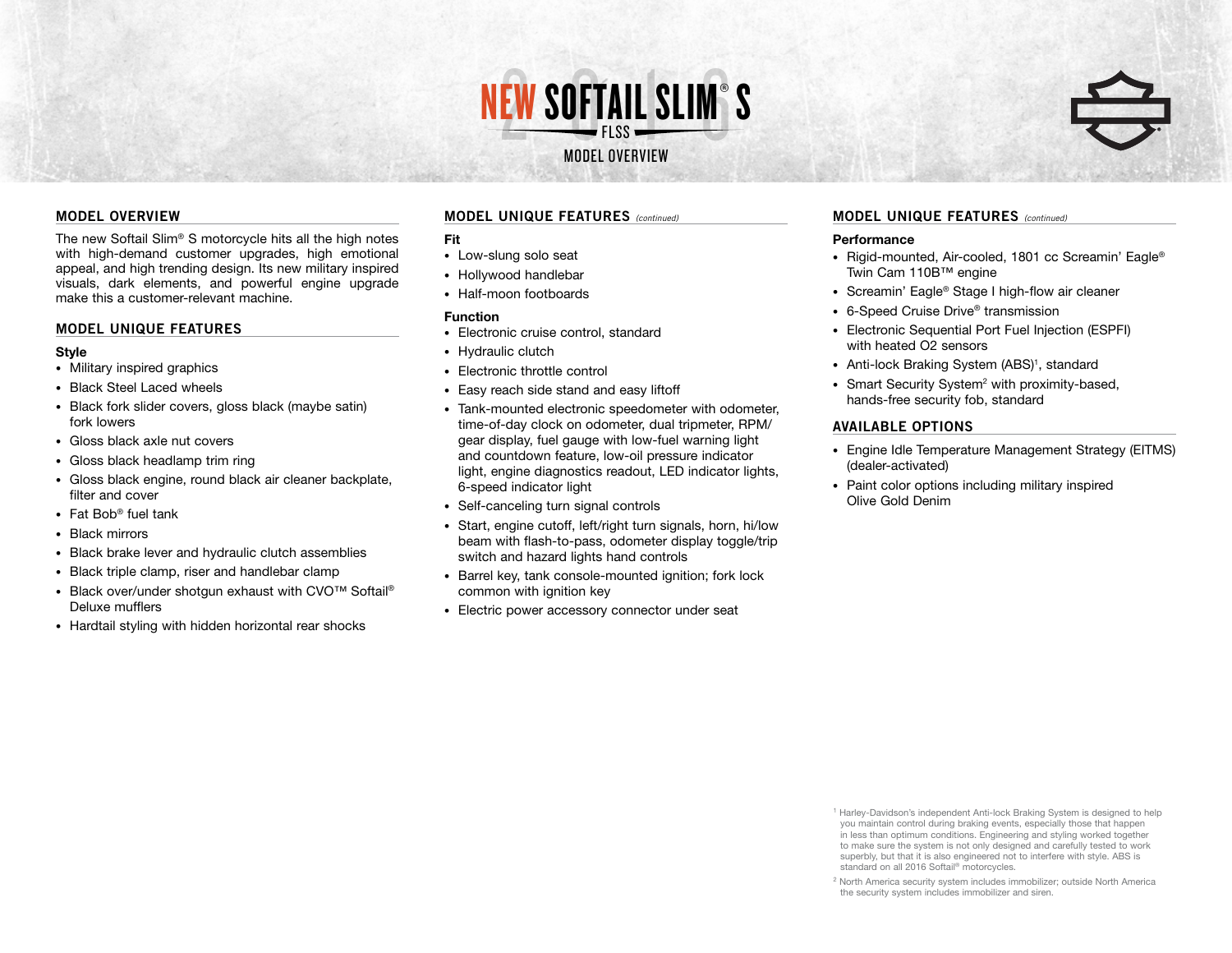

## **MODEL OVERVIEW**

The new Softail Slim® S motorcycle hits all the high notes with high-demand customer upgrades, high emotional appeal, and high trending design. Its new military inspired visuals, dark elements, and powerful engine upgrade make this a customer-relevant machine.

## **MODEL UNIQUE FEATURES**

### **Style**

- Military inspired graphics
- Black Steel Laced wheels
- Black fork slider covers, gloss black (maybe satin) fork lowers
- Gloss black axle nut covers
- Gloss black headlamp trim ring
- Gloss black engine, round black air cleaner backplate, filter and cover
- Fat Bob® fuel tank
- Black mirrors
- Black brake lever and hydraulic clutch assemblies
- Black triple clamp, riser and handlebar clamp
- Black over/under shotgun exhaust with CVO™ Softail® Deluxe mufflers
- Hardtail styling with hidden horizontal rear shocks

## **MODEL UNIQUE FEATURES** *(continued)*

## Fit

- Low-slung solo seat
- Hollywood handlebar
- Half-moon footboards

# Function

- Electronic cruise control, standard
- Hydraulic clutch
- Electronic throttle control
- Easy reach side stand and easy liftoff
- Tank-mounted electronic speedometer with odometer, time-of-day clock on odometer, dual tripmeter, RPM/ gear display, fuel gauge with low-fuel warning light and countdown feature, low-oil pressure indicator light, engine diagnostics readout, LED indicator lights, 6-speed indicator light
- Self-canceling turn signal controls
- Start, engine cutoff, left/right turn signals, horn, hi/low beam with flash-to-pass, odometer display toggle/trip switch and hazard lights hand controls
- Barrel key, tank console-mounted ignition; fork lock common with ignition key
- Electric power accessory connector under seat

## **MODEL UNIQUE FEATURES** *(continued)*

## **Performance**

- Rigid-mounted, Air-cooled, 1801 cc Screamin' Eagle® Twin Cam 110B™ engine
- Screamin' Eagle<sup>®</sup> Stage I high-flow air cleaner
- 6-Speed Cruise Drive<sup>®</sup> transmission
- Electronic Sequential Port Fuel Injection (ESPFI) with heated O2 sensors
- Anti-lock Braking System (ABS)<sup>1</sup>, standard
- Smart Security System<sup>2</sup> with proximity-based, hands-free security fob, standard

## **AVAILABLE OPTIONS**

- Engine Idle Temperature Management Strategy (EITMS) (dealer-activated)
- Paint color options including military inspired Olive Gold Denim

<sup>1</sup> Harley-Davidson's independent Anti-lock Braking System is designed to help you maintain control during braking events, especially those that happen in less than optimum conditions. Engineering and styling worked together to make sure the system is not only designed and carefully tested to work superbly, but that it is also engineered not to interfere with style. ABS is standard on all 2016 Softail<sup>®</sup> motorcycles.



<sup>2</sup> North America security system includes immobilizer; outside North America the security system includes immobilizer and siren.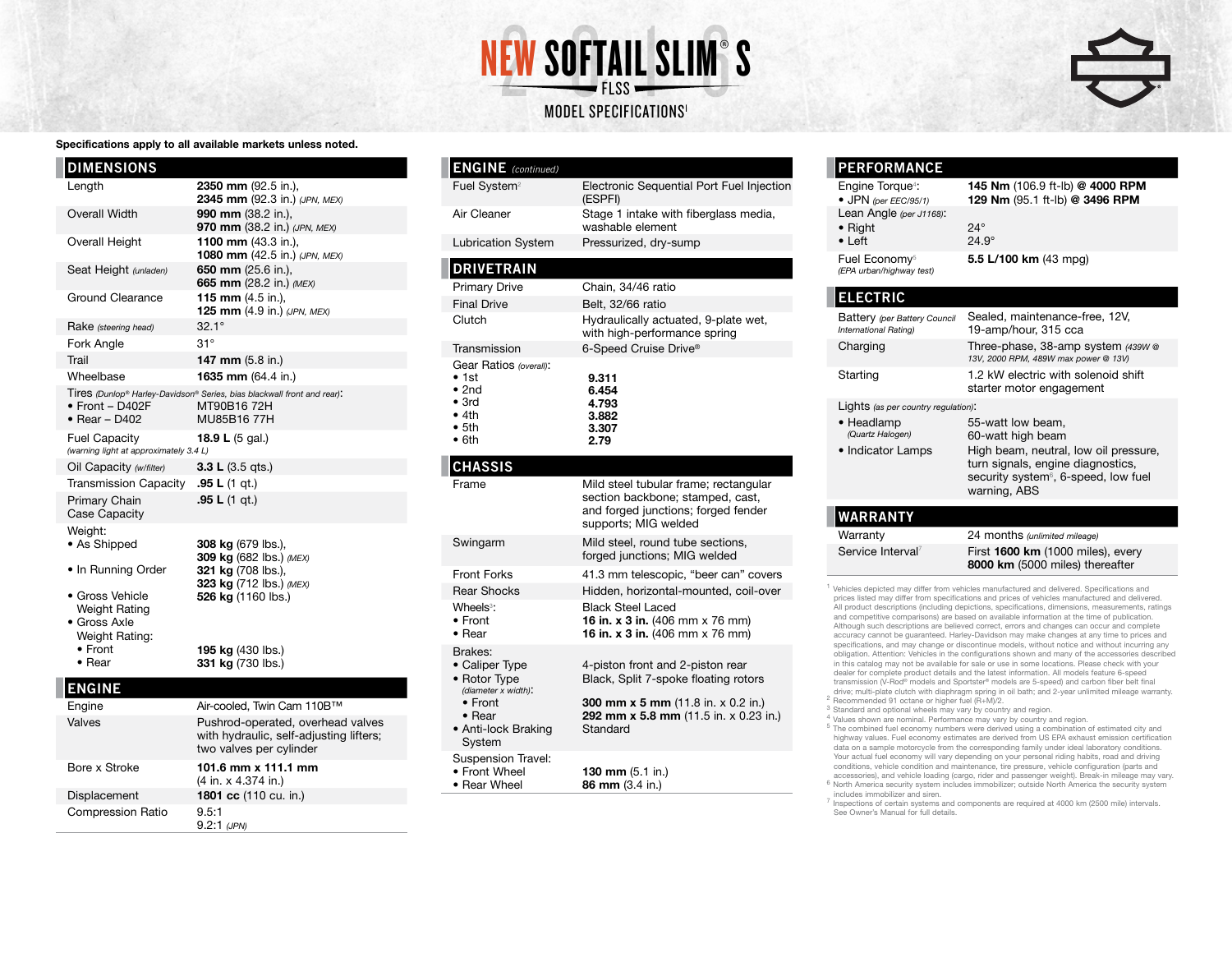



### Specifications apply to all available markets unless noted.

| <b>DIMENSIONS</b>                                                                                                                                               |                                                                                                                                                                |
|-----------------------------------------------------------------------------------------------------------------------------------------------------------------|----------------------------------------------------------------------------------------------------------------------------------------------------------------|
| Length                                                                                                                                                          | 2350 mm (92.5 in.),<br>2345 mm (92.3 in.) (JPN, MEX)                                                                                                           |
| <b>Overall Width</b>                                                                                                                                            | 990 mm (38.2 in.),<br>970 mm (38.2 in.) (JPN, MEX)                                                                                                             |
| <b>Overall Height</b>                                                                                                                                           | 1100 mm (43.3 in.),<br>1080 mm (42.5 in.) (JPN, MEX)                                                                                                           |
| Seat Height (unladen)                                                                                                                                           | 650 mm (25.6 in.),<br>665 mm (28.2 in.) (MEX)                                                                                                                  |
| Ground Clearance                                                                                                                                                | 115 mm $(4.5$ in.),<br>125 mm (4.9 in.) (JPN, MEX)                                                                                                             |
| Rake (steering head)                                                                                                                                            | $32.1^{\circ}$                                                                                                                                                 |
| Fork Angle                                                                                                                                                      | $31^\circ$                                                                                                                                                     |
| Trail                                                                                                                                                           | 147 mm (5.8 in.)                                                                                                                                               |
| Wheelbase                                                                                                                                                       | 1635 mm (64.4 in.)                                                                                                                                             |
| $\bullet$ Front - D402F<br>$\bullet$ Rear - D402                                                                                                                | Tires (Dunlop <sup>®</sup> Harley-Davidson® Series, bias blackwall front and rear):<br>MT90B16 72H<br>MU85B16 77H                                              |
| <b>Fuel Capacity</b><br>(warning light at approximately 3.4 L)                                                                                                  | 18.9 L (5 gal.)                                                                                                                                                |
| Oil Capacity (w/filter)                                                                                                                                         | 3.3 L $(3.5 \text{ qts.})$                                                                                                                                     |
| Transmission Capacity                                                                                                                                           | .95 L $(1$ qt.)                                                                                                                                                |
| Primary Chain<br>Case Capacity                                                                                                                                  | .95 L $(1$ qt.)                                                                                                                                                |
| Weight:<br>• As Shipped<br>• In Running Order<br>• Gross Vehicle<br><b>Weight Rating</b><br>• Gross Axle<br>Weight Rating:<br>$\bullet$ Front<br>$\bullet$ Rear | 308 kg (679 lbs.),<br>309 kg (682 lbs.) (MEX)<br>321 kg (708 lbs.),<br>323 kg (712 lbs.) (MEX)<br>526 kg (1160 lbs.)<br>195 kg (430 lbs.)<br>331 kg (730 lbs.) |
| <b>ENGINE</b>                                                                                                                                                   |                                                                                                                                                                |
| Engine                                                                                                                                                          | Air-cooled, Twin Cam 110B™                                                                                                                                     |
| Valves                                                                                                                                                          | Pushrod-operated, overhead valves<br>with hydraulic, self-adjusting lifters;                                                                                   |

|                          | with hydraulic, self-adjusting lif<br>two valves per cylinder |
|--------------------------|---------------------------------------------------------------|
| Bore x Stroke            | 101.6 mm x 111.1 mm<br>(4 in. x 4.374 in.)                    |
| Displacement             | 1801 cc (110 cu. in.)                                         |
| <b>Compression Ratio</b> | 9.5:1<br>$9.2:1$ (JPN)                                        |

| <b>ENGINE</b> (continued)                                                                                    |                                                                                                                                          |
|--------------------------------------------------------------------------------------------------------------|------------------------------------------------------------------------------------------------------------------------------------------|
| Fuel System <sup>2</sup>                                                                                     | Electronic Sequential Port Fuel Injection<br>(ESPFI)                                                                                     |
| Air Cleaner                                                                                                  | Stage 1 intake with fiberglass media,<br>washable element                                                                                |
| <b>Lubrication System</b>                                                                                    | Pressurized, dry-sump                                                                                                                    |
| <b>DRIVETRAIN</b>                                                                                            |                                                                                                                                          |
| <b>Primary Drive</b>                                                                                         | Chain, 34/46 ratio                                                                                                                       |
| <b>Final Drive</b>                                                                                           | Belt, 32/66 ratio                                                                                                                        |
| Clutch                                                                                                       | Hydraulically actuated, 9-plate wet,<br>with high-performance spring                                                                     |
| Transmission                                                                                                 | 6-Speed Cruise Drive®                                                                                                                    |
| Gear Ratios (overall):<br>$\bullet$ 1st<br>$\bullet$ 2nd<br>$\bullet$ 3rd<br>• 4th<br>• 5th<br>$\bullet$ 6th | 9.311<br>6.454<br>4.793<br>3.882<br>3.307<br>2.79                                                                                        |
| <b>CHASSIS</b>                                                                                               |                                                                                                                                          |
| Frame                                                                                                        | Mild steel tubular frame; rectangular<br>section backbone; stamped, cast,<br>and forged junctions; forged fender<br>supports; MIG welded |
| Swingarm                                                                                                     | Mild steel, round tube sections,<br>forged junctions; MIG welded                                                                         |
| <b>Front Forks</b>                                                                                           | 41.3 mm telescopic, "beer can" covers                                                                                                    |
| <b>Rear Shocks</b>                                                                                           | Hidden, horizontal-mounted, coil-over                                                                                                    |
| Wheels <sup>3</sup> :<br>$\bullet$ Front<br>$\bullet$ Rear                                                   | <b>Black Steel Laced</b><br>16 in. x 3 in. (406 mm x 76 mm)<br>16 in. x 3 in. (406 mm x 76 mm)                                           |
| Brakes:<br>• Caliper Type<br>• Rotor Type<br>(diameter x width):<br>$\bullet$ Front                          | 4-piston front and 2-piston rear<br>Black, Split 7-spoke floating rotors<br><b>300 mm x 5 mm</b> (11.8 in. x 0.2 in.)                    |
| $\bullet$ Rear<br>• Anti-lock Braking<br>System                                                              | 292 mm x 5.8 mm (11.5 in. x 0.23 in.)<br>Standard                                                                                        |
| <b>Suspension Travel:</b><br>• Front Wheel                                                                   | 130 mm (5.1 in.)                                                                                                                         |

86 mm (3.4 in.)

• Rear Wheel

| $-111$ $011111111000$                                        |                                                                                                                                                                                          |  |  |  |
|--------------------------------------------------------------|------------------------------------------------------------------------------------------------------------------------------------------------------------------------------------------|--|--|--|
| Engine Torque <sup>4</sup> :<br>• JPN (per EEC/95/1)         | 145 Nm (106.9 ft-lb) @ 4000 RPM<br>129 Nm (95.1 ft-lb) @ 3496 RPM                                                                                                                        |  |  |  |
| Lean Angle (per J1168):<br>$\bullet$ Right<br>$\bullet$ Left | $24^\circ$<br>$24.9^\circ$                                                                                                                                                               |  |  |  |
| Fuel Economy <sup>5</sup><br>(EPA urban/highway test)        | 5.5 L/100 km $(43 \text{ m})$                                                                                                                                                            |  |  |  |
| <b>ELECTRIC</b>                                              |                                                                                                                                                                                          |  |  |  |
| Battery (per Battery Council<br>International Rating)        | Sealed, maintenance-free, 12V,<br>19-amp/hour, 315 cca                                                                                                                                   |  |  |  |
| Charging                                                     | Three-phase, 38-amp system (439W @<br>13V, 2000 RPM, 489W max power @ 13V)                                                                                                               |  |  |  |
| Starting                                                     | 1.2 kW electric with solenoid shift<br>starter motor engagement                                                                                                                          |  |  |  |
| Lights (as per country regulation):                          |                                                                                                                                                                                          |  |  |  |
| • Headlamp<br>(Quartz Halogen)<br>• Indicator Lamps          | 55-watt low beam,<br>60-watt high beam<br>High beam, neutral, low oil pressure,<br>turn signals, engine diagnostics,<br>security system <sup>6</sup> , 6-speed, low fuel<br>warning, ABS |  |  |  |
| <u>WARRANTY</u>                                              |                                                                                                                                                                                          |  |  |  |
| Marrantu                                                     | $24$ months <i>(interimal mileage)</i>                                                                                                                                                   |  |  |  |

**PERFORMANCE**

Warranty 24 months *(unlimited mileage)* Service Interval<sup>7</sup> First 1600 km (1000 miles), every 8000 km (5000 miles) thereafter

<sup>1</sup> Vehicles depicted may differ from vehicles manufactured and delivered. Specifications and prices listed may differ from specifications and prices of vehicles manufactured and delivered. All product descriptions (including depictions, specifications, dimensions, measurements, ratings and competitive comparisons) are based on available information at the time of publication. Although such descriptions are believed correct, errors and changes can occur and complete accuracy cannot be guaranteed. Harley-Davidson may make changes at any time to prices and specifications, and may change or discontinue models, without notice and without incurring any obligation. Attention: Vehicles in the configurations shown and many of the accessories described in this catalog may not be available for sale or use in some locations. Please check with your dealer for complete product details and the latest information. All models feature 6-speed transmission (V-Rod® models and Sportster® models are 5-speed) and carbon fiber belt final<br>drive; multi-plate clutch with diaphragm spring in oil bath; and 2-year unlimited mileage warranty.

- 
- 2 Recommended 91 octane or higher fuel  $(\hat{R}+M)/2$ .<br><sup>2</sup> Standard and optional wheels may vary by country and region.<br><sup>4</sup> Values shown are nominal. Performance may vary by country and region.<br><sup>5</sup> The combined fuel economy highway values. Fuel economy estimates are derived from US EPA exhaust emission certification data on a sample motorcycle from the corresponding family under ideal laboratory conditions. Your actual fuel economy will vary depending on your personal riding habits, road and driving conditions, vehicle condition and maintenance, tire pressure, vehicle configuration (parts and

6 North America security system includes immobilizer; outside North America the security system<br>includes immobilizer and siren.

 $\frac{7}{1}$  Inspections of certain systems and components are required at 4000 km (2500 mile) intervals. See Owner's Manual for full details.